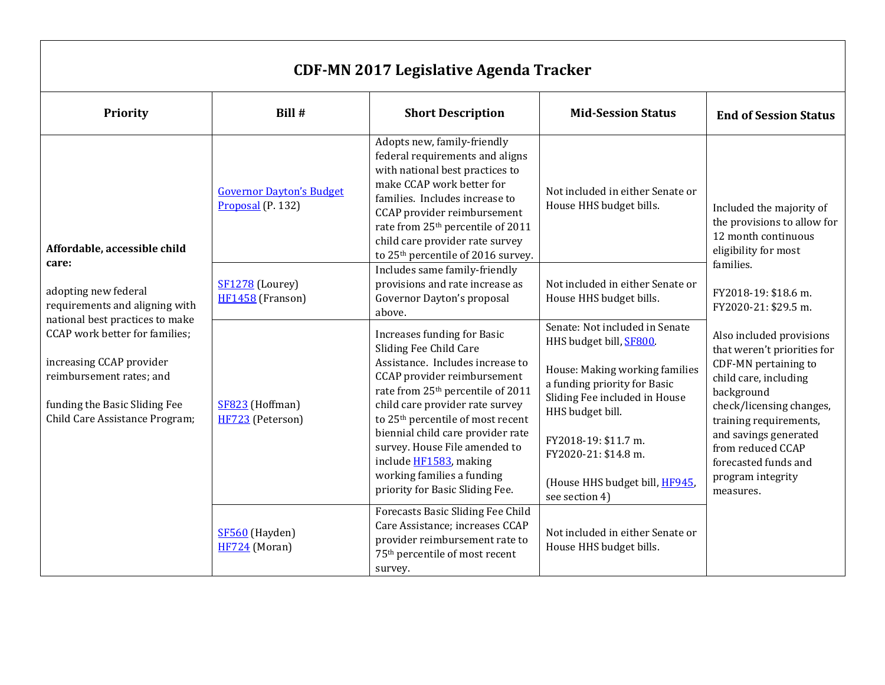| <b>CDF-MN 2017 Legislative Agenda Tracker</b>                                                                                                                                                                                                                                                   |                                                      |                                                                                                                                                                                                                                                                                                                                                                                                                                |                                                                                                                                                                                                                                                                                      |                                                                                                                                                                                                                                                                                                                                                                                                                                                             |  |
|-------------------------------------------------------------------------------------------------------------------------------------------------------------------------------------------------------------------------------------------------------------------------------------------------|------------------------------------------------------|--------------------------------------------------------------------------------------------------------------------------------------------------------------------------------------------------------------------------------------------------------------------------------------------------------------------------------------------------------------------------------------------------------------------------------|--------------------------------------------------------------------------------------------------------------------------------------------------------------------------------------------------------------------------------------------------------------------------------------|-------------------------------------------------------------------------------------------------------------------------------------------------------------------------------------------------------------------------------------------------------------------------------------------------------------------------------------------------------------------------------------------------------------------------------------------------------------|--|
| Priority                                                                                                                                                                                                                                                                                        | Bill #                                               | <b>Short Description</b>                                                                                                                                                                                                                                                                                                                                                                                                       | <b>Mid-Session Status</b>                                                                                                                                                                                                                                                            | <b>End of Session Status</b>                                                                                                                                                                                                                                                                                                                                                                                                                                |  |
| Affordable, accessible child<br>care:<br>adopting new federal<br>requirements and aligning with<br>national best practices to make<br>CCAP work better for families;<br>increasing CCAP provider<br>reimbursement rates; and<br>funding the Basic Sliding Fee<br>Child Care Assistance Program; | <b>Governor Dayton's Budget</b><br>Proposal (P. 132) | Adopts new, family-friendly<br>federal requirements and aligns<br>with national best practices to<br>make CCAP work better for<br>families. Includes increase to<br>CCAP provider reimbursement<br>rate from 25 <sup>th</sup> percentile of 2011<br>child care provider rate survey<br>to 25 <sup>th</sup> percentile of 2016 survey.                                                                                          | Not included in either Senate or<br>House HHS budget bills.                                                                                                                                                                                                                          | Included the majority of<br>the provisions to allow for<br>12 month continuous<br>eligibility for most<br>families.<br>FY2018-19: \$18.6 m.<br>FY2020-21: \$29.5 m.<br>Also included provisions<br>that weren't priorities for<br>CDF-MN pertaining to<br>child care, including<br>background<br>check/licensing changes,<br>training requirements,<br>and savings generated<br>from reduced CCAP<br>forecasted funds and<br>program integrity<br>measures. |  |
|                                                                                                                                                                                                                                                                                                 | SF1278 (Lourey)<br>HF1458 (Franson)                  | Includes same family-friendly<br>provisions and rate increase as<br>Governor Dayton's proposal<br>above.                                                                                                                                                                                                                                                                                                                       | Not included in either Senate or<br>House HHS budget bills.                                                                                                                                                                                                                          |                                                                                                                                                                                                                                                                                                                                                                                                                                                             |  |
|                                                                                                                                                                                                                                                                                                 | SF823 (Hoffman)<br>HF723 (Peterson)                  | Increases funding for Basic<br>Sliding Fee Child Care<br>Assistance. Includes increase to<br>CCAP provider reimbursement<br>rate from 25 <sup>th</sup> percentile of 2011<br>child care provider rate survey<br>to 25 <sup>th</sup> percentile of most recent<br>biennial child care provider rate<br>survey. House File amended to<br>include HF1583, making<br>working families a funding<br>priority for Basic Sliding Fee. | Senate: Not included in Senate<br>HHS budget bill, SF800.<br>House: Making working families<br>a funding priority for Basic<br>Sliding Fee included in House<br>HHS budget bill.<br>FY2018-19: \$11.7 m.<br>FY2020-21: \$14.8 m.<br>(House HHS budget bill, HF945,<br>see section 4) |                                                                                                                                                                                                                                                                                                                                                                                                                                                             |  |
|                                                                                                                                                                                                                                                                                                 | SF560 (Hayden)<br>HF724 (Moran)                      | Forecasts Basic Sliding Fee Child<br>Care Assistance; increases CCAP<br>provider reimbursement rate to<br>75 <sup>th</sup> percentile of most recent<br>survey.                                                                                                                                                                                                                                                                | Not included in either Senate or<br>House HHS budget bills.                                                                                                                                                                                                                          |                                                                                                                                                                                                                                                                                                                                                                                                                                                             |  |

 $\Gamma$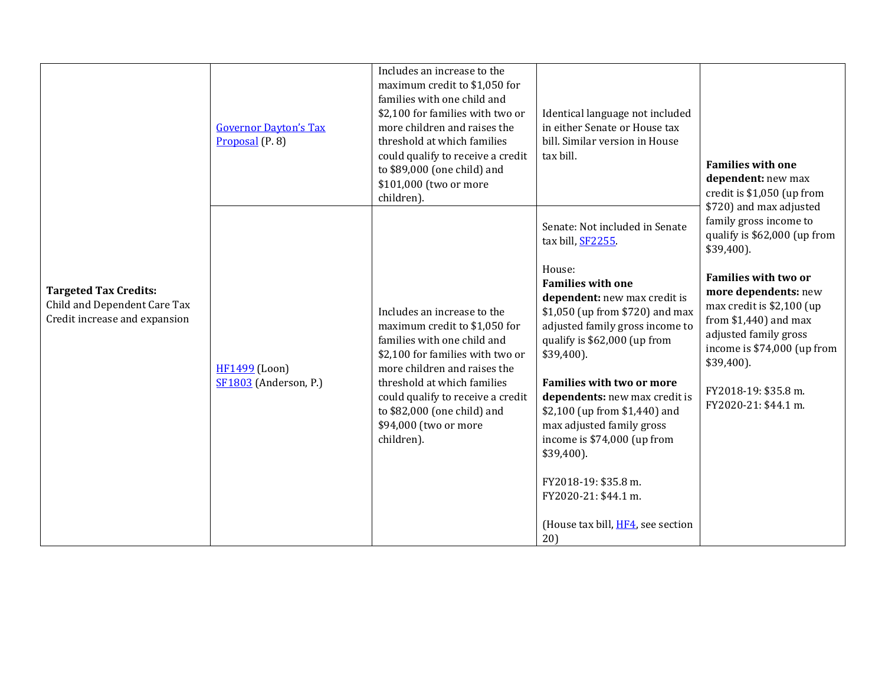|                                                                                               | <b>Governor Dayton's Tax</b><br>Proposal $(P. 8)$ | Includes an increase to the<br>maximum credit to \$1,050 for<br>families with one child and<br>\$2,100 for families with two or<br>more children and raises the<br>threshold at which families<br>could qualify to receive a credit<br>to \$89,000 (one child) and<br>\$101,000 (two or more<br>children). | Identical language not included<br>in either Senate or House tax<br>bill. Similar version in House<br>tax bill.                                                                                                                                                                                                                                                                                                                                                                                                               | <b>Families with one</b><br>dependent: new max<br>credit is \$1,050 (up from                                                                                                                                                                                                                                                             |
|-----------------------------------------------------------------------------------------------|---------------------------------------------------|------------------------------------------------------------------------------------------------------------------------------------------------------------------------------------------------------------------------------------------------------------------------------------------------------------|-------------------------------------------------------------------------------------------------------------------------------------------------------------------------------------------------------------------------------------------------------------------------------------------------------------------------------------------------------------------------------------------------------------------------------------------------------------------------------------------------------------------------------|------------------------------------------------------------------------------------------------------------------------------------------------------------------------------------------------------------------------------------------------------------------------------------------------------------------------------------------|
| <b>Targeted Tax Credits:</b><br>Child and Dependent Care Tax<br>Credit increase and expansion | <b>HF1499</b> (Loon)<br>SF1803 (Anderson, P.)     | Includes an increase to the<br>maximum credit to \$1,050 for<br>families with one child and<br>\$2,100 for families with two or<br>more children and raises the<br>threshold at which families<br>could qualify to receive a credit<br>to \$82,000 (one child) and<br>\$94,000 (two or more<br>children).  | Senate: Not included in Senate<br>tax bill, SF2255.<br>House:<br><b>Families with one</b><br>dependent: new max credit is<br>\$1,050 (up from \$720) and max<br>adjusted family gross income to<br>qualify is \$62,000 (up from<br>$$39,400$ ).<br><b>Families with two or more</b><br>dependents: new max credit is<br>\$2,100 (up from \$1,440) and<br>max adjusted family gross<br>income is \$74,000 (up from<br>$$39,400$ ).<br>FY2018-19: \$35.8 m.<br>FY2020-21: \$44.1 m.<br>(House tax bill, HF4, see section<br>20) | \$720) and max adjusted<br>family gross income to<br>qualify is \$62,000 (up from<br>$$39,400$ ).<br><b>Families with two or</b><br>more dependents: new<br>max credit is \$2,100 (up<br>from $$1,440$ ) and max<br>adjusted family gross<br>income is \$74,000 (up from<br>$$39,400$ ).<br>FY2018-19: \$35.8 m.<br>FY2020-21: \$44.1 m. |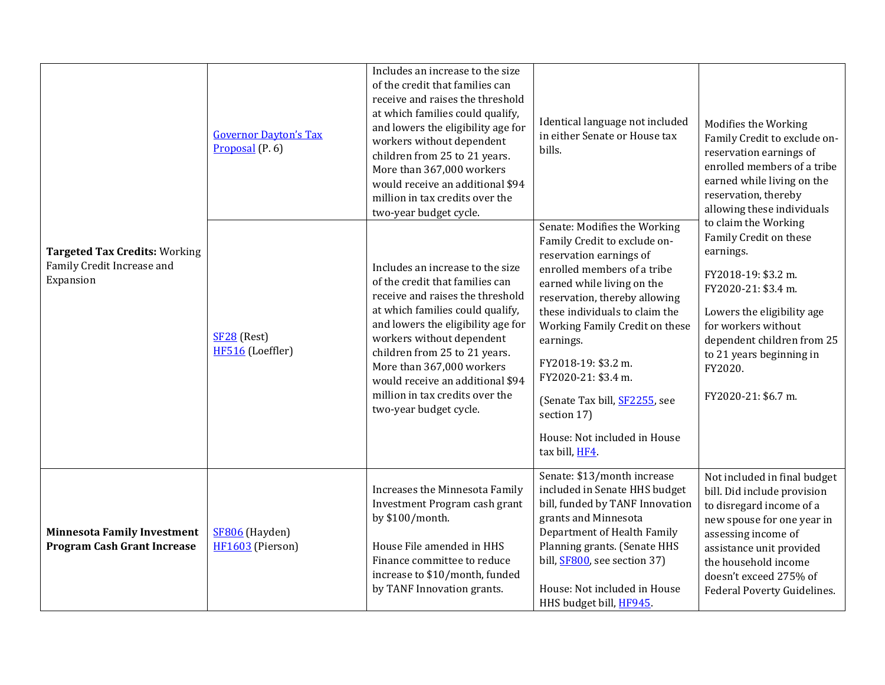| <b>Targeted Tax Credits: Working</b><br>Family Credit Increase and<br>Expansion | <b>Governor Dayton's Tax</b><br>Proposal $(P. 6)$ | Includes an increase to the size<br>of the credit that families can<br>receive and raises the threshold<br>at which families could qualify,<br>and lowers the eligibility age for<br>workers without dependent<br>children from 25 to 21 years.<br>More than 367,000 workers<br>would receive an additional \$94<br>million in tax credits over the<br>two-year budget cycle. | Identical language not included<br>in either Senate or House tax<br>bills.                                                                                                                                                                                                                                                                                                                                            | Modifies the Working<br>Family Credit to exclude on-<br>reservation earnings of<br>enrolled members of a tribe<br>earned while living on the<br>reservation, thereby<br>allowing these individuals<br>to claim the Working<br>Family Credit on these<br>earnings.<br>FY2018-19: \$3.2 m.<br>FY2020-21: \$3.4 m.<br>Lowers the eligibility age<br>for workers without<br>dependent children from 25<br>to 21 years beginning in<br>FY2020.<br>FY2020-21: \$6.7 m. |
|---------------------------------------------------------------------------------|---------------------------------------------------|-------------------------------------------------------------------------------------------------------------------------------------------------------------------------------------------------------------------------------------------------------------------------------------------------------------------------------------------------------------------------------|-----------------------------------------------------------------------------------------------------------------------------------------------------------------------------------------------------------------------------------------------------------------------------------------------------------------------------------------------------------------------------------------------------------------------|------------------------------------------------------------------------------------------------------------------------------------------------------------------------------------------------------------------------------------------------------------------------------------------------------------------------------------------------------------------------------------------------------------------------------------------------------------------|
|                                                                                 | $SF28$ (Rest)<br>HF516 (Loeffler)                 | Includes an increase to the size<br>of the credit that families can<br>receive and raises the threshold<br>at which families could qualify,<br>and lowers the eligibility age for<br>workers without dependent<br>children from 25 to 21 years.<br>More than 367,000 workers<br>would receive an additional \$94<br>million in tax credits over the<br>two-year budget cycle. | Senate: Modifies the Working<br>Family Credit to exclude on-<br>reservation earnings of<br>enrolled members of a tribe<br>earned while living on the<br>reservation, thereby allowing<br>these individuals to claim the<br>Working Family Credit on these<br>earnings.<br>FY2018-19: \$3.2 m.<br>FY2020-21: \$3.4 m.<br>(Senate Tax bill, SF2255, see<br>section 17)<br>House: Not included in House<br>tax bill, HF4 |                                                                                                                                                                                                                                                                                                                                                                                                                                                                  |
| <b>Minnesota Family Investment</b><br><b>Program Cash Grant Increase</b>        | SF806 (Hayden)<br>HF1603 (Pierson)                | Increases the Minnesota Family<br>Investment Program cash grant<br>by \$100/month.<br>House File amended in HHS<br>Finance committee to reduce<br>increase to \$10/month, funded<br>by TANF Innovation grants.                                                                                                                                                                | Senate: \$13/month increase<br>included in Senate HHS budget<br>bill, funded by TANF Innovation<br>grants and Minnesota<br>Department of Health Family<br>Planning grants. (Senate HHS<br>bill, SF800, see section 37)<br>House: Not included in House<br>HHS budget bill, HF945.                                                                                                                                     | Not included in final budget<br>bill. Did include provision<br>to disregard income of a<br>new spouse for one year in<br>assessing income of<br>assistance unit provided<br>the household income<br>doesn't exceed 275% of<br>Federal Poverty Guidelines.                                                                                                                                                                                                        |